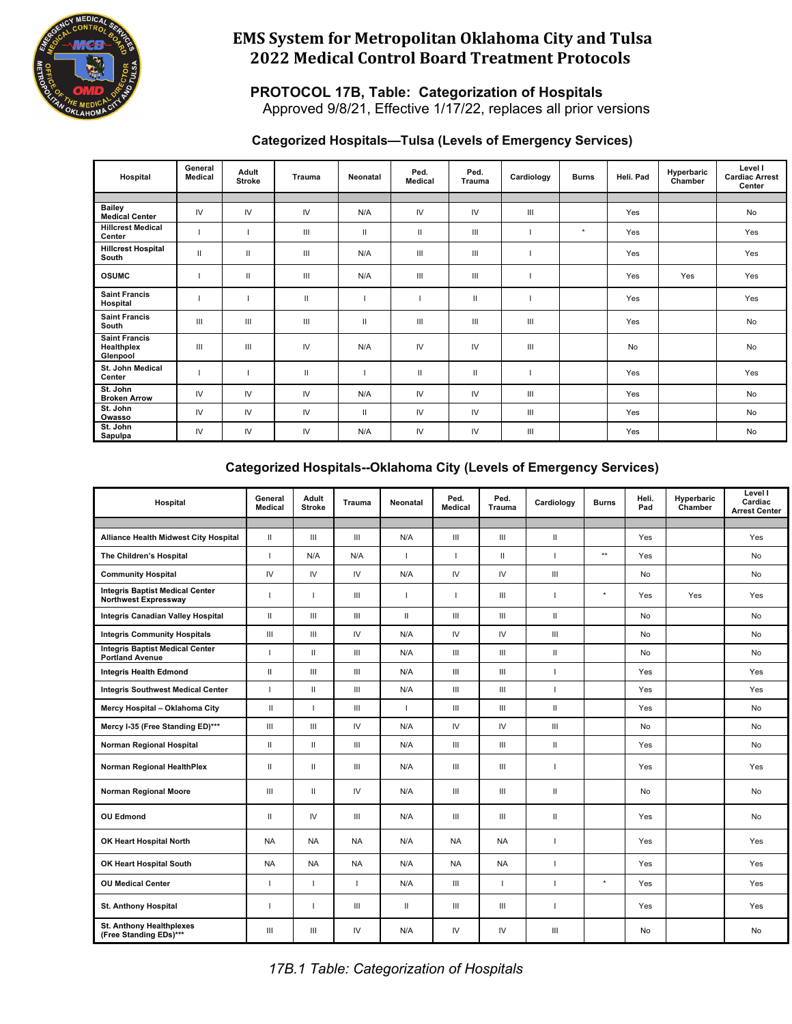

#### **PROTOCOL 17B, Table: Categorization of Hospitals** Approved 9/8/21, Effective 1/17/22, replaces all prior versions

#### **Categorized Hospitals—Tulsa (Levels of Emergency Services)**

| Hospital                                       | General<br><b>Medical</b> | Adult<br><b>Stroke</b> | Trauma       | Neonatal     | Ped.<br><b>Medical</b> | Ped.<br>Trauma | Cardiology | <b>Burns</b> | Heli. Pad | Hyperbaric<br>Chamber | Level I<br><b>Cardiac Arrest</b><br>Center |
|------------------------------------------------|---------------------------|------------------------|--------------|--------------|------------------------|----------------|------------|--------------|-----------|-----------------------|--------------------------------------------|
|                                                |                           |                        |              |              |                        |                |            |              |           |                       |                                            |
| <b>Bailey</b><br><b>Medical Center</b>         | IV                        | IV                     | IV           | N/A          | IV                     | IV             | Ш          |              | Yes       |                       | <b>No</b>                                  |
| <b>Hillcrest Medical</b><br>Center             |                           |                        | Ш            | $\mathbf{H}$ | $\mathbf{H}$           | Ш              |            | $\star$      | Yes       |                       | Yes                                        |
| <b>Hillcrest Hospital</b><br>South             | $\mathbf{H}$              | $\mathbf{H}$           | Ш            | N/A          | Ш                      | Ш              |            |              | Yes       |                       | Yes                                        |
| <b>OSUMC</b>                                   |                           | $\mathbf{II}$          | Ш            | N/A          | Ш                      | Ш              |            |              | Yes       | Yes                   | Yes                                        |
| <b>Saint Francis</b><br>Hospital               |                           |                        | $\mathbf{H}$ |              |                        | $\mathbf{II}$  |            |              | Yes       |                       | Yes                                        |
| <b>Saint Francis</b><br>South                  | Ш                         | III                    | Ш            | $\mathbf{H}$ | Ш                      | Ш              | Ш          |              | Yes       |                       | No                                         |
| <b>Saint Francis</b><br>Healthplex<br>Glenpool | Ш                         | Ш                      | IV           | N/A          | IV                     | IV             | Ш          |              | No        |                       | <b>No</b>                                  |
| St. John Medical<br>Center                     |                           |                        | $\mathbf{H}$ |              | $\mathbf{II}$          | $\mathbf{II}$  |            |              | Yes       |                       | Yes                                        |
| St. John<br><b>Broken Arrow</b>                | IV                        | IV                     | IV           | N/A          | IV                     | IV             | Ш          |              | Yes       |                       | <b>No</b>                                  |
| St. John<br>Owasso                             | IV                        | IV                     | IV           | $\mathbf{H}$ | IV                     | IV             | Ш          |              | Yes       |                       | No                                         |
| St. John<br>Sapulpa                            | IV                        | IV                     | IV           | N/A          | IV                     | IV             | Ш          |              | Yes       |                       | <b>No</b>                                  |

### **Categorized Hospitals--Oklahoma City (Levels of Emergency Services)**

| Hospital                                                         | General<br>Medical | Adult<br><b>Stroke</b> | <b>Trauma</b>      | <b>Neonatal</b> | Ped.<br><b>Medical</b>             | Ped.<br><b>Trauma</b> | Cardiology   | <b>Burns</b> | Heli.<br>Pad | Hyperbaric<br>Chamber | Level I<br>Cardiac<br><b>Arrest Center</b> |
|------------------------------------------------------------------|--------------------|------------------------|--------------------|-----------------|------------------------------------|-----------------------|--------------|--------------|--------------|-----------------------|--------------------------------------------|
|                                                                  |                    |                        |                    |                 |                                    |                       |              |              |              |                       |                                            |
| Alliance Health Midwest City Hospital                            | $\mathbf{H}$       | Ш                      | $\mathbf{III}$     | N/A             | III                                | III                   | $\mathbf{H}$ |              | Yes          |                       | Yes                                        |
| The Children's Hospital                                          | I.                 | N/A                    | N/A                | т               | I.                                 | Ш                     | ı            | $\star\star$ | Yes          |                       | No                                         |
| <b>Community Hospital</b>                                        | $\mathsf{IV}$      | IV                     | IV                 | N/A             | $\mathsf{IV}$                      | ${\sf IV}$            | Ш            |              | No           |                       | No                                         |
| <b>Integris Baptist Medical Center</b><br>Northwest Expressway   | I.                 |                        | Ш                  | L               | I.                                 | III                   | $\mathbf{I}$ | $^\star$     | Yes          | Yes                   | Yes                                        |
| <b>Integris Canadian Valley Hospital</b>                         | $\mathbf{H}$       | Ш                      | III                | $\mathbf{H}$    | III                                | III                   | $\mathbf{H}$ |              | No           |                       | No                                         |
| <b>Integris Community Hospitals</b>                              | III                | Ш                      | IV                 | N/A             | IV                                 | IV                    | Ш            |              | No           |                       | No                                         |
| <b>Integris Baptist Medical Center</b><br><b>Portland Avenue</b> | L                  | $\mathbf{H}$           | Ш                  | N/A             | III                                | Ш                     | $\mathbf{H}$ |              | No           |                       | No                                         |
| <b>Integris Health Edmond</b>                                    | $\mathbf{H}$       | Ш                      | $\mathbf{m}$       | N/A             | III                                | III                   | $\mathbf{I}$ |              | Yes          |                       | Yes                                        |
| <b>Integris Southwest Medical Center</b>                         | I.                 | $\mathbf{H}$           | $\mathop{\rm III}$ | N/A             | $\ensuremath{\mathsf{III}}\xspace$ | III                   | $\mathbf{I}$ |              | Yes          |                       | Yes                                        |
| Mercy Hospital - Oklahoma City                                   | $\mathbf{II}$      |                        | $\mathbf{III}$     | L               | Ш                                  | III                   | $\mathbf{H}$ |              | Yes          |                       | No                                         |
| Mercy I-35 (Free Standing ED)***                                 | III                | Ш                      | IV                 | N/A             | IV                                 | $\mathsf{IV}$         | III          |              | No           |                       | No                                         |
| Norman Regional Hospital                                         | $\mathbf{H}$       | $\mathbf{H}$           | Ш                  | N/A             | III                                | III                   | Ш            |              | Yes          |                       | No                                         |
| Norman Regional HealthPlex                                       | $\mathbf{H}$       | $\mathbf{H}$           | $\mathbf{III}$     | N/A             | III                                | Ш                     | $\mathbf{I}$ |              | Yes          |                       | Yes                                        |
| Norman Regional Moore                                            | $\mathbf{III}$     | $\mathbf{H}$           | IV                 | N/A             | III                                | III                   | $\mathbf{H}$ |              | No           |                       | No                                         |
| <b>OU Edmond</b>                                                 | $\mathbf{H}$       | IV                     | III                | N/A             | III                                | III                   | $\mathbf{H}$ |              | Yes          |                       | No                                         |
| OK Heart Hospital North                                          | <b>NA</b>          | <b>NA</b>              | <b>NA</b>          | N/A             | <b>NA</b>                          | <b>NA</b>             | $\mathbf{I}$ |              | Yes          |                       | Yes                                        |
| OK Heart Hospital South                                          | <b>NA</b>          | <b>NA</b>              | NA                 | N/A             | <b>NA</b>                          | <b>NA</b>             | ı            |              | Yes          |                       | Yes                                        |
| <b>OU Medical Center</b>                                         | т                  |                        |                    | N/A             | $\ensuremath{\mathsf{III}}\xspace$ | $\overline{1}$        | $\mathbf{I}$ | $^\star$     | Yes          |                       | Yes                                        |
| <b>St. Anthony Hospital</b>                                      | т                  |                        | Ш                  | $\mathbf{H}$    | Ш                                  | Ш                     | $\mathbf{I}$ |              | Yes          |                       | Yes                                        |
| <b>St. Anthony Healthplexes</b><br>(Free Standing EDs)***        | $\mathbf{III}$     | Ш                      | IV                 | N/A             | IV                                 | IV                    | Ш            |              | No           |                       | No                                         |

*17B.1 Table: Categorization of Hospitals*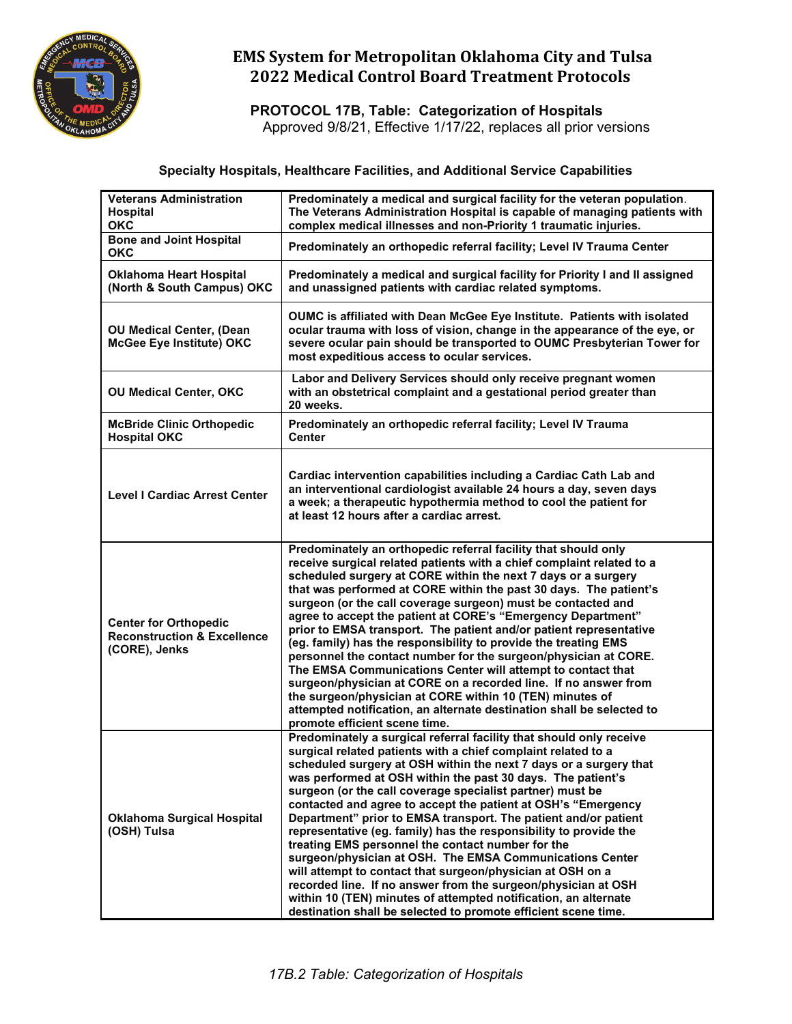

**PROTOCOL 17B, Table: Categorization of Hospitals** Approved 9/8/21, Effective 1/17/22, replaces all prior versions

#### **Specialty Hospitals, Healthcare Facilities, and Additional Service Capabilities**

| <b>Veterans Administration</b><br><b>Hospital</b><br><b>OKC</b>                         | Predominately a medical and surgical facility for the veteran population.<br>The Veterans Administration Hospital is capable of managing patients with<br>complex medical illnesses and non-Priority 1 traumatic injuries.                                                                                                                                                                                                                                                                                                                                                                                                                                                                                                                                                                                                                                                                                                          |
|-----------------------------------------------------------------------------------------|-------------------------------------------------------------------------------------------------------------------------------------------------------------------------------------------------------------------------------------------------------------------------------------------------------------------------------------------------------------------------------------------------------------------------------------------------------------------------------------------------------------------------------------------------------------------------------------------------------------------------------------------------------------------------------------------------------------------------------------------------------------------------------------------------------------------------------------------------------------------------------------------------------------------------------------|
| <b>Bone and Joint Hospital</b><br><b>OKC</b>                                            | Predominately an orthopedic referral facility; Level IV Trauma Center                                                                                                                                                                                                                                                                                                                                                                                                                                                                                                                                                                                                                                                                                                                                                                                                                                                               |
| <b>Oklahoma Heart Hospital</b><br>(North & South Campus) OKC                            | Predominately a medical and surgical facility for Priority I and II assigned<br>and unassigned patients with cardiac related symptoms.                                                                                                                                                                                                                                                                                                                                                                                                                                                                                                                                                                                                                                                                                                                                                                                              |
| <b>OU Medical Center, (Dean</b><br>McGee Eye Institute) OKC                             | OUMC is affiliated with Dean McGee Eye Institute. Patients with isolated<br>ocular trauma with loss of vision, change in the appearance of the eye, or<br>severe ocular pain should be transported to OUMC Presbyterian Tower for<br>most expeditious access to ocular services.                                                                                                                                                                                                                                                                                                                                                                                                                                                                                                                                                                                                                                                    |
| <b>OU Medical Center, OKC</b>                                                           | Labor and Delivery Services should only receive pregnant women<br>with an obstetrical complaint and a gestational period greater than<br>20 weeks.                                                                                                                                                                                                                                                                                                                                                                                                                                                                                                                                                                                                                                                                                                                                                                                  |
| <b>McBride Clinic Orthopedic</b><br><b>Hospital OKC</b>                                 | Predominately an orthopedic referral facility; Level IV Trauma<br>Center                                                                                                                                                                                                                                                                                                                                                                                                                                                                                                                                                                                                                                                                                                                                                                                                                                                            |
| <b>Level   Cardiac Arrest Center</b>                                                    | Cardiac intervention capabilities including a Cardiac Cath Lab and<br>an interventional cardiologist available 24 hours a day, seven days<br>a week; a therapeutic hypothermia method to cool the patient for<br>at least 12 hours after a cardiac arrest.                                                                                                                                                                                                                                                                                                                                                                                                                                                                                                                                                                                                                                                                          |
| <b>Center for Orthopedic</b><br><b>Reconstruction &amp; Excellence</b><br>(CORE), Jenks | Predominately an orthopedic referral facility that should only<br>receive surgical related patients with a chief complaint related to a<br>scheduled surgery at CORE within the next 7 days or a surgery<br>that was performed at CORE within the past 30 days. The patient's<br>surgeon (or the call coverage surgeon) must be contacted and<br>agree to accept the patient at CORE's "Emergency Department"<br>prior to EMSA transport. The patient and/or patient representative<br>(eg. family) has the responsibility to provide the treating EMS<br>personnel the contact number for the surgeon/physician at CORE.<br>The EMSA Communications Center will attempt to contact that<br>surgeon/physician at CORE on a recorded line. If no answer from<br>the surgeon/physician at CORE within 10 (TEN) minutes of<br>attempted notification, an alternate destination shall be selected to<br>promote efficient scene time.   |
| <b>Oklahoma Surgical Hospital</b><br>(OSH) Tulsa                                        | Predominately a surgical referral facility that should only receive<br>surgical related patients with a chief complaint related to a<br>scheduled surgery at OSH within the next 7 days or a surgery that<br>was performed at OSH within the past 30 days. The patient's<br>surgeon (or the call coverage specialist partner) must be<br>contacted and agree to accept the patient at OSH's "Emergency<br>Department" prior to EMSA transport. The patient and/or patient<br>representative (eg. family) has the responsibility to provide the<br>treating EMS personnel the contact number for the<br>surgeon/physician at OSH. The EMSA Communications Center<br>will attempt to contact that surgeon/physician at OSH on a<br>recorded line. If no answer from the surgeon/physician at OSH<br>within 10 (TEN) minutes of attempted notification, an alternate<br>destination shall be selected to promote efficient scene time. |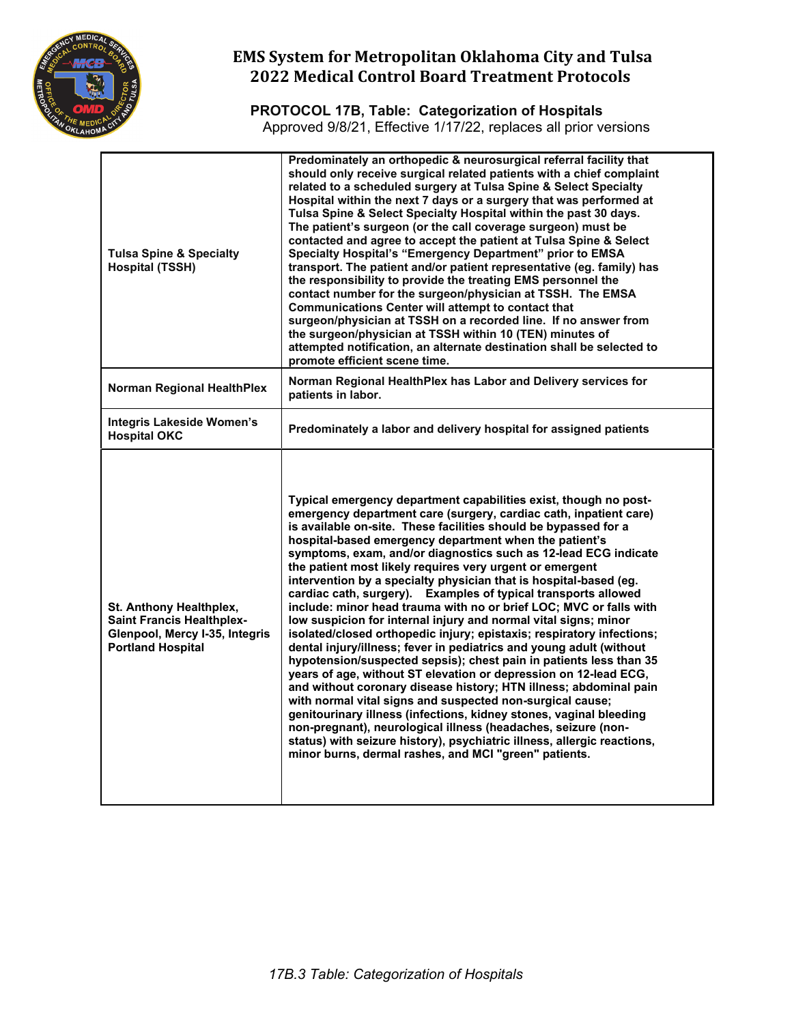

**PROTOCOL 17B, Table: Categorization of Hospitals** Approved 9/8/21, Effective 1/17/22, replaces all prior versions

| <b>Tulsa Spine &amp; Specialty</b><br><b>Hospital (TSSH)</b>                                                              | Predominately an orthopedic & neurosurgical referral facility that<br>should only receive surgical related patients with a chief complaint<br>related to a scheduled surgery at Tulsa Spine & Select Specialty<br>Hospital within the next 7 days or a surgery that was performed at<br>Tulsa Spine & Select Specialty Hospital within the past 30 days.<br>The patient's surgeon (or the call coverage surgeon) must be<br>contacted and agree to accept the patient at Tulsa Spine & Select<br>Specialty Hospital's "Emergency Department" prior to EMSA<br>transport. The patient and/or patient representative (eg. family) has<br>the responsibility to provide the treating EMS personnel the<br>contact number for the surgeon/physician at TSSH. The EMSA<br><b>Communications Center will attempt to contact that</b><br>surgeon/physician at TSSH on a recorded line. If no answer from<br>the surgeon/physician at TSSH within 10 (TEN) minutes of<br>attempted notification, an alternate destination shall be selected to<br>promote efficient scene time.                                                                                                                                                                                                                                                                                                                  |
|---------------------------------------------------------------------------------------------------------------------------|------------------------------------------------------------------------------------------------------------------------------------------------------------------------------------------------------------------------------------------------------------------------------------------------------------------------------------------------------------------------------------------------------------------------------------------------------------------------------------------------------------------------------------------------------------------------------------------------------------------------------------------------------------------------------------------------------------------------------------------------------------------------------------------------------------------------------------------------------------------------------------------------------------------------------------------------------------------------------------------------------------------------------------------------------------------------------------------------------------------------------------------------------------------------------------------------------------------------------------------------------------------------------------------------------------------------------------------------------------------------------------------|
| <b>Norman Regional HealthPlex</b>                                                                                         | Norman Regional HealthPlex has Labor and Delivery services for<br>patients in labor.                                                                                                                                                                                                                                                                                                                                                                                                                                                                                                                                                                                                                                                                                                                                                                                                                                                                                                                                                                                                                                                                                                                                                                                                                                                                                                     |
| <b>Integris Lakeside Women's</b><br><b>Hospital OKC</b>                                                                   | Predominately a labor and delivery hospital for assigned patients                                                                                                                                                                                                                                                                                                                                                                                                                                                                                                                                                                                                                                                                                                                                                                                                                                                                                                                                                                                                                                                                                                                                                                                                                                                                                                                        |
| St. Anthony Healthplex,<br><b>Saint Francis Healthplex-</b><br>Glenpool, Mercy I-35, Integris<br><b>Portland Hospital</b> | Typical emergency department capabilities exist, though no post-<br>emergency department care (surgery, cardiac cath, inpatient care)<br>is available on-site. These facilities should be bypassed for a<br>hospital-based emergency department when the patient's<br>symptoms, exam, and/or diagnostics such as 12-lead ECG indicate<br>the patient most likely requires very urgent or emergent<br>intervention by a specialty physician that is hospital-based (eg.<br>cardiac cath, surgery). Examples of typical transports allowed<br>include: minor head trauma with no or brief LOC; MVC or falls with<br>low suspicion for internal injury and normal vital signs; minor<br>isolated/closed orthopedic injury; epistaxis; respiratory infections;<br>dental injury/illness; fever in pediatrics and young adult (without<br>hypotension/suspected sepsis); chest pain in patients less than 35<br>years of age, without ST elevation or depression on 12-lead ECG,<br>and without coronary disease history; HTN illness; abdominal pain<br>with normal vital signs and suspected non-surgical cause;<br>genitourinary illness (infections, kidney stones, vaginal bleeding<br>non-pregnant), neurological illness (headaches, seizure (non-<br>status) with seizure history), psychiatric illness, allergic reactions,<br>minor burns, dermal rashes, and MCI "green" patients. |